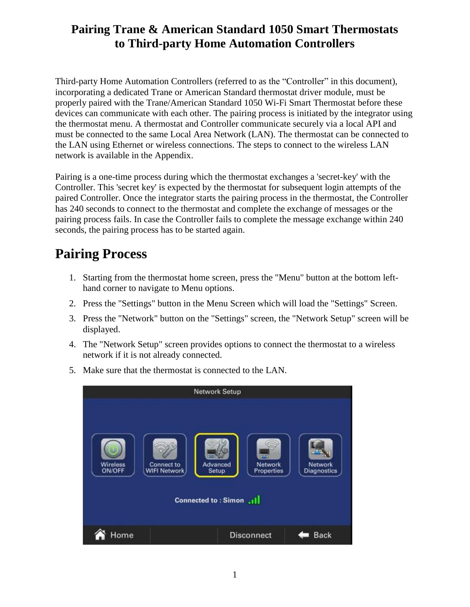### **Pairing Trane & American Standard 1050 Smart Thermostats to Third-party Home Automation Controllers**

Third-party Home Automation Controllers (referred to as the "Controller" in this document), incorporating a dedicated Trane or American Standard thermostat driver module, must be properly paired with the Trane/American Standard 1050 Wi-Fi Smart Thermostat before these devices can communicate with each other. The pairing process is initiated by the integrator using the thermostat menu. A thermostat and Controller communicate securely via a local API and must be connected to the same Local Area Network (LAN). The thermostat can be connected to the LAN using Ethernet or wireless connections. The steps to connect to the wireless LAN network is available in the Appendix.

Pairing is a one-time process during which the thermostat exchanges a 'secret-key' with the Controller. This 'secret key' is expected by the thermostat for subsequent login attempts of the paired Controller. Once the integrator starts the pairing process in the thermostat, the Controller has 240 seconds to connect to the thermostat and complete the exchange of messages or the pairing process fails. In case the Controller fails to complete the message exchange within 240 seconds, the pairing process has to be started again.

## **Pairing Process**

- 1. Starting from the thermostat home screen, press the "Menu" button at the bottom lefthand corner to navigate to Menu options.
- 2. Press the "Settings" button in the Menu Screen which will load the "Settings" Screen.
- 3. Press the "Network" button on the "Settings" screen, the "Network Setup" screen will be displayed.
- 4. The "Network Setup" screen provides options to connect the thermostat to a wireless network if it is not already connected.



5. Make sure that the thermostat is connected to the LAN.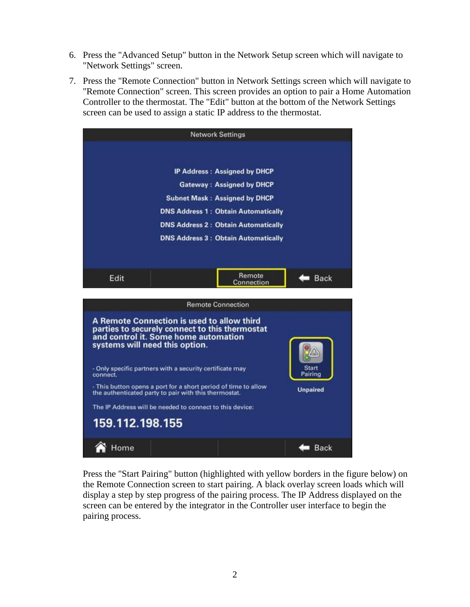- 6. Press the "Advanced Setup" button in the Network Setup screen which will navigate to "Network Settings" screen.
- 7. Press the "Remote Connection" button in Network Settings screen which will navigate to "Remote Connection" screen. This screen provides an option to pair a Home Automation Controller to the thermostat. The "Edit" button at the bottom of the Network Settings screen can be used to assign a static IP address to the thermostat.



Press the "Start Pairing" button (highlighted with yellow borders in the figure below) on the Remote Connection screen to start pairing. A black overlay screen loads which will display a step by step progress of the pairing process. The IP Address displayed on the screen can be entered by the integrator in the Controller user interface to begin the pairing process.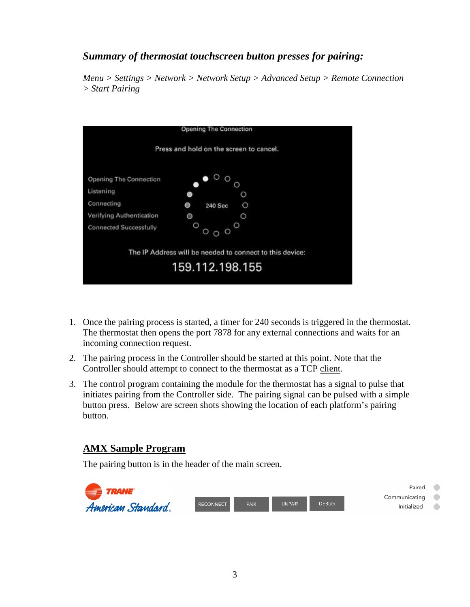#### *Summary of thermostat touchscreen button presses for pairing:*

*Menu > Settings > Network > Network Setup > Advanced Setup > Remote Connection > Start Pairing*



- 1. Once the pairing process is started, a timer for 240 seconds is triggered in the thermostat. The thermostat then opens the port 7878 for any external connections and waits for an incoming connection request.
- 2. The pairing process in the Controller should be started at this point. Note that the Controller should attempt to connect to the thermostat as a TCP client.
- 3. The control program containing the module for the thermostat has a signal to pulse that initiates pairing from the Controller side. The pairing signal can be pulsed with a simple button press. Below are screen shots showing the location of each platform's pairing button.

#### **AMX Sample Program**

The pairing button is in the header of the main screen.

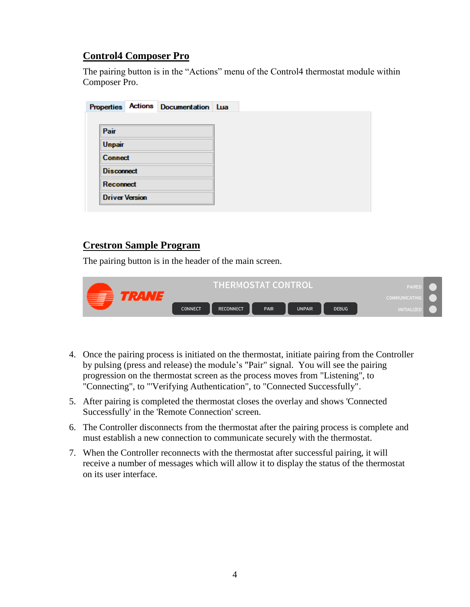#### **Control4 Composer Pro**

The pairing button is in the "Actions" menu of the Control4 thermostat module within Composer Pro.

| Pair          |  |                                                                                  |  |
|---------------|--|----------------------------------------------------------------------------------|--|
| <b>Unpair</b> |  |                                                                                  |  |
|               |  |                                                                                  |  |
|               |  |                                                                                  |  |
|               |  |                                                                                  |  |
|               |  |                                                                                  |  |
|               |  | <b>Connect</b><br><b>Disconnect</b><br><b>Reconnect</b><br><b>Driver Version</b> |  |

#### **Crestron Sample Program**

The pairing button is in the header of the main screen.

| _      | THERMOSTAT CONTROL |           |      |               |              | PAIRE.<br><b>COMMUNICATING</b> |
|--------|--------------------|-----------|------|---------------|--------------|--------------------------------|
| $\sim$ | CONNECT            | RECONNECT | PAIR | <b>UNPAIR</b> | <b>DEBUG</b> | <b>INITIALIZEL</b>             |

- 4. Once the pairing process is initiated on the thermostat, initiate pairing from the Controller by pulsing (press and release) the module's "Pair" signal. You will see the pairing progression on the thermostat screen as the process moves from "Listening", to "Connecting", to "'Verifying Authentication", to "Connected Successfully".
- 5. After pairing is completed the thermostat closes the overlay and shows 'Connected Successfully' in the 'Remote Connection' screen.
- 6. The Controller disconnects from the thermostat after the pairing process is complete and must establish a new connection to communicate securely with the thermostat.
- 7. When the Controller reconnects with the thermostat after successful pairing, it will receive a number of messages which will allow it to display the status of the thermostat on its user interface.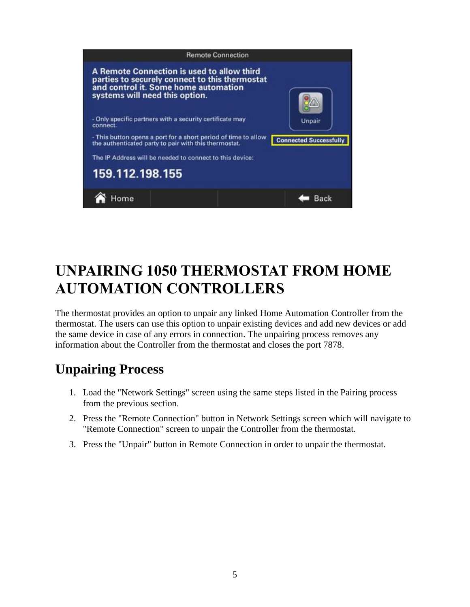

# **UNPAIRING 1050 THERMOSTAT FROM HOME AUTOMATION CONTROLLERS**

The thermostat provides an option to unpair any linked Home Automation Controller from the thermostat. The users can use this option to unpair existing devices and add new devices or add the same device in case of any errors in connection. The unpairing process removes any information about the Controller from the thermostat and closes the port 7878.

## **Unpairing Process**

- 1. Load the "Network Settings" screen using the same steps listed in the Pairing process from the previous section.
- 2. Press the "Remote Connection" button in Network Settings screen which will navigate to "Remote Connection" screen to unpair the Controller from the thermostat.
- 3. Press the "Unpair" button in Remote Connection in order to unpair the thermostat.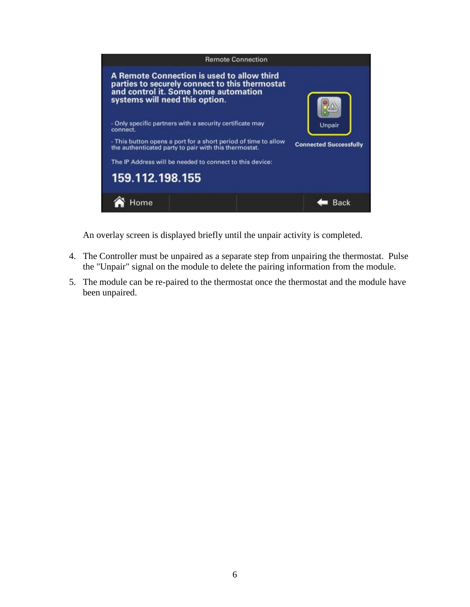

An overlay screen is displayed briefly until the unpair activity is completed.

- 4. The Controller must be unpaired as a separate step from unpairing the thermostat. Pulse the "Unpair" signal on the module to delete the pairing information from the module.
- 5. The module can be re-paired to the thermostat once the thermostat and the module have been unpaired.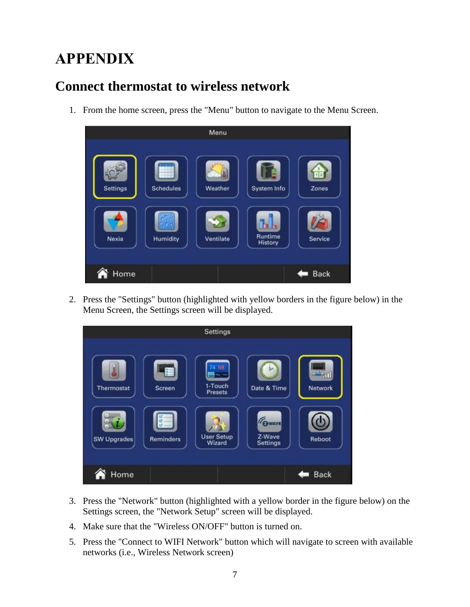# **APPENDIX**

## **Connect thermostat to wireless network**

1. From the home screen, press the "Menu" button to navigate to the Menu Screen.



2. Press the "Settings" button (highlighted with yellow borders in the figure below) in the Menu Screen, the Settings screen will be displayed.



- 3. Press the "Network" button (highlighted with a yellow border in the figure below) on the Settings screen, the "Network Setup" screen will be displayed.
- 4. Make sure that the "Wireless ON/OFF" button is turned on.
- 5. Press the "Connect to WIFI Network" button which will navigate to screen with available networks (i.e., Wireless Network screen)